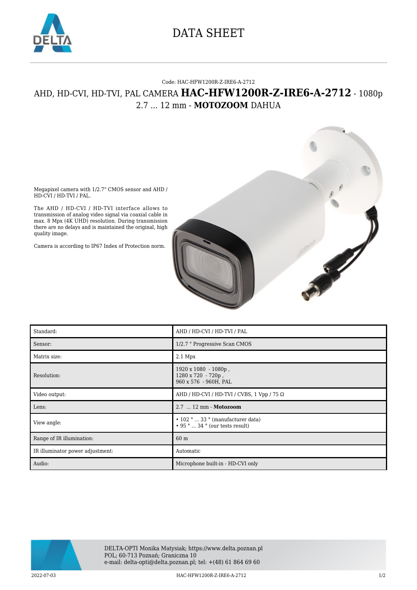

## DATA SHEET

## Code: HAC-HFW1200R-Z-IRE6-A-2712

## AHD, HD-CVI, HD-TVI, PAL CAMERA **HAC-HFW1200R-Z-IRE6-A-2712** - 1080p 2.7 ... 12 mm - **MOTOZOOM** DAHUA

Megapixel camera with 1/2.7" CMOS sensor and AHD / HD-CVI / HD-TVI / PAL.

The AHD / HD-CVI / HD-TVI interface allows to transmission of analog video signal via coaxial cable in max. 8 Mpx (4K UHD) resolution. During transmission there are no delays and is maintained the original, high quality image.

Camera is according to IP67 Index of Protection norm.





| Standard:                        | AHD / HD-CVI / HD-TVI / PAL                                                      |
|----------------------------------|----------------------------------------------------------------------------------|
| Sensor:                          | 1/2.7 " Progressive Scan CMOS                                                    |
| Matrix size:                     | $2.1$ Mpx                                                                        |
| Resolution:                      | 1920 x 1080 - 1080p,<br>1280 x 720 - 720p,<br>960 x 576 - 960H, PAL              |
| Video output:                    | AHD / HD-CVI / HD-TVI / CVBS, 1 Vpp / 75 $\Omega$                                |
| Lens:                            | 2.7  12 mm - Motozoom                                                            |
| View angle:                      | $\cdot$ 102 °  33 ° (manufacturer data)<br>$\cdot$ 95 °  34 ° (our tests result) |
| Range of IR illumination:        | 60 m                                                                             |
| IR illuminator power adjustment: | Automatic                                                                        |
| Audio:                           | Microphone built-in - HD-CVI only                                                |